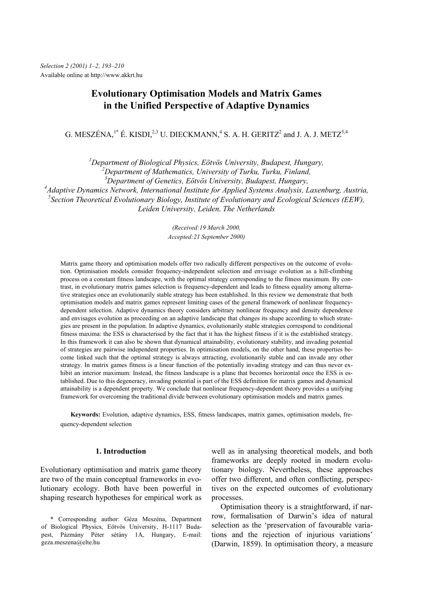# **Evolutionary Optimisation Models and Matrix Games in the Unified Perspective of Adaptive Dynamics**

G. MESZÉNA,<sup>1\*</sup> É. KISDI,<sup>2,3</sup> U. DIECKMANN,<sup>4</sup> S. A. H. GERITZ<sup>2</sup> and J. A. J. METZ<sup>5,4</sup>

*1 Department of Biological Physics, Eötvös University, Budapest, Hungary,* 

*2 Department of Mathematics, University of Turku, Turku, Finland,* 

*3 Department of Genetics, Eötvös University, Budapest, Hungary,* 

*4 Adaptive Dynamics Network, International Institute for Applied Systems Analysis, Laxenburg, Austria,* 

*5 Section Theoretical Evolutionary Biology, Institute of Evolutionary and Ecological Sciences (EEW),* 

*Leiden University, Leiden, The Netherlands* 

*(Received:19 March 2000, Accepted:21 September 2000)* 

Matrix game theory and optimisation models offer two radically different perspectives on the outcome of evolution. Optimisation models consider frequency-independent selection and envisage evolution as a hill-climbing process on a constant fitness landscape, with the optimal strategy corresponding to the fitness maximum. By contrast, in evolutionary matrix games selection is frequency-dependent and leads to fitness equality among alternative strategies once an evolutionarily stable strategy has been established. In this review we demonstrate that both optimisation models and matrix games represent limiting cases of the general framework of nonlinear frequencydependent selection. Adaptive dynamics theory considers arbitrary nonlinear frequency and density dependence and envisages evolution as proceeding on an adaptive landscape that changes its shape according to which strategies are present in the population. In adaptive dynamics, evolutionarily stable strategies correspond to conditional fitness maxima: the ESS is characterised by the fact that it has the highest fitness if it is the established strategy. In this framework it can also be shown that dynamical attainability, evolutionary stability, and invading potential of strategies are pairwise independent properties. In optimisation models, on the other hand, these properties become linked such that the optimal strategy is always attracting, evolutionarily stable and can invade any other strategy. In matrix games fitness is a linear function of the potentially invading strategy and can thus never exhibit an interior maximum: Instead, the fitness landscape is a plane that becomes horizontal once the ESS is established. Due to this degeneracy, invading potential is part of the ESS definition for matrix games and dynamical attainability is a dependent property. We conclude that nonlinear frequency-dependent theory provides a unifying framework for overcoming the traditional divide between evolutionary optimisation models and matrix games.

**Keywords:** Evolution, adaptive dynamics, ESS, fitness landscapes, matrix games, optimisation models, frequency-dependent selection

## **1. Introduction**

Evolutionary optimisation and matrix game theory are two of the main conceptual frameworks in evolutionary ecology. Both have been powerful in shaping research hypotheses for empirical work as

well as in analysing theoretical models, and both frameworks are deeply rooted in modern evolutionary biology. Nevertheless, these approaches offer two different, and often conflicting, perspectives on the expected outcomes of evolutionary processes.

Optimisation theory is a straightforward, if narrow, formalisation of Darwin's idea of natural selection as the 'preservation of favourable variations and the rejection of injurious variations' (Darwin, 1859). In optimisation theory, a measure

<sup>\*</sup> Corresponding author: Géza Meszéna, Department of Biological Physics, Eötvös University, H-1117 Budapest, Pázmány Péter sétány 1A, Hungary, E-mail: geza.meszena@elte.hu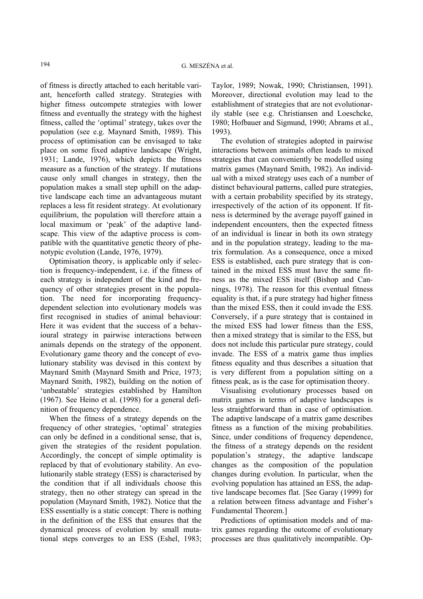of fitness is directly attached to each heritable variant, henceforth called strategy. Strategies with higher fitness outcompete strategies with lower fitness and eventually the strategy with the highest fitness, called the 'optimal' strategy, takes over the population (see e.g. Maynard Smith, 1989). This process of optimisation can be envisaged to take place on some fixed adaptive landscape (Wright, 1931; Lande, 1976), which depicts the fitness measure as a function of the strategy. If mutations cause only small changes in strategy, then the population makes a small step uphill on the adaptive landscape each time an advantageous mutant replaces a less fit resident strategy. At evolutionary equilibrium, the population will therefore attain a local maximum or 'peak' of the adaptive landscape. This view of the adaptive process is compatible with the quantitative genetic theory of phenotypic evolution (Lande, 1976, 1979).

Optimisation theory, is applicable only if selection is frequency-independent, i.e. if the fitness of each strategy is independent of the kind and frequency of other strategies present in the population. The need for incorporating frequencydependent selection into evolutionary models was first recognised in studies of animal behaviour: Here it was evident that the success of a behavioural strategy in pairwise interactions between animals depends on the strategy of the opponent. Evolutionary game theory and the concept of evolutionary stability was devised in this context by Maynard Smith (Maynard Smith and Price, 1973; Maynard Smith, 1982), building on the notion of 'unbeatable' strategies established by Hamilton (1967). See Heino et al. (1998) for a general definition of frequency dependence.

When the fitness of a strategy depends on the frequency of other strategies, 'optimal' strategies can only be defined in a conditional sense, that is, given the strategies of the resident population. Accordingly, the concept of simple optimality is replaced by that of evolutionary stability. An evolutionarily stable strategy (ESS) is characterised by the condition that if all individuals choose this strategy, then no other strategy can spread in the population (Maynard Smith, 1982). Notice that the ESS essentially is a static concept: There is nothing in the definition of the ESS that ensures that the dynamical process of evolution by small mutational steps converges to an ESS (Eshel, 1983; Taylor, 1989; Nowak, 1990; Christiansen, 1991). Moreover, directional evolution may lead to the establishment of strategies that are not evolutionarily stable (see e.g. Christiansen and Loeschcke, 1980; Hofbauer and Sigmund, 1990; Abrams et al., 1993).

The evolution of strategies adopted in pairwise interactions between animals often leads to mixed strategies that can conveniently be modelled using matrix games (Maynard Smith, 1982). An individual with a mixed strategy uses each of a number of distinct behavioural patterns, called pure strategies, with a certain probability specified by its strategy, irrespectively of the action of its opponent. If fitness is determined by the average payoff gained in independent encounters, then the expected fitness of an individual is linear in both its own strategy and in the population strategy, leading to the matrix formulation. As a consequence, once a mixed ESS is established, each pure strategy that is contained in the mixed ESS must have the same fitness as the mixed ESS itself (Bishop and Cannings, 1978). The reason for this eventual fitness equality is that, if a pure strategy had higher fitness than the mixed ESS, then it could invade the ESS. Conversely, if a pure strategy that is contained in the mixed ESS had lower fitness than the ESS, then a mixed strategy that is similar to the ESS, but does not include this particular pure strategy, could invade. The ESS of a matrix game thus implies fitness equality and thus describes a situation that is very different from a population sitting on a fitness peak, as is the case for optimisation theory.

Visualising evolutionary processes based on matrix games in terms of adaptive landscapes is less straightforward than in case of optimisation. The adaptive landscape of a matrix game describes fitness as a function of the mixing probabilities. Since, under conditions of frequency dependence, the fitness of a strategy depends on the resident population's strategy, the adaptive landscape changes as the composition of the population changes during evolution. In particular, when the evolving population has attained an ESS, the adaptive landscape becomes flat. [See Garay (1999) for a relation between fitness advantage and Fisher's Fundamental Theorem.]

Predictions of optimisation models and of matrix games regarding the outcome of evolutionary processes are thus qualitatively incompatible. Op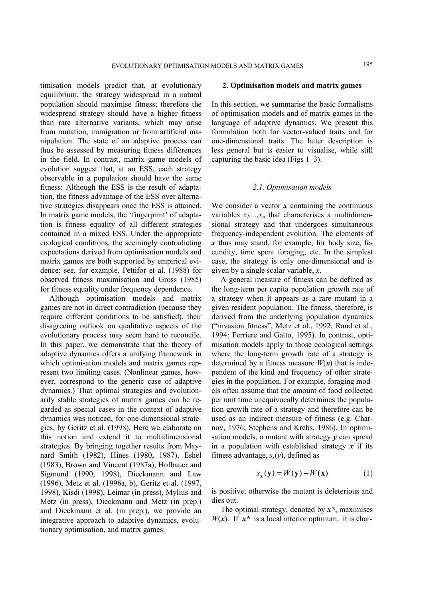timisation models predict that, at evolutionary equilibrium, the strategy widespread in a natural population should maximise fitness; therefore the widespread strategy should have a higher fitness than rare alternative variants, which may arise from mutation, immigration or from artificial manipulation. The state of an adaptive process can thus be assessed by measuring fitness differences in the field. In contrast, matrix game models of evolution suggest that, at an ESS, each strategy observable in a population should have the same fitness: Although the ESS is the result of adaptation, the fitness advantage of the ESS over alternative strategies disappears once the ESS is attained. In matrix game models, the 'fingerprint' of adaptation is fitness equality of all different strategies contained in a mixed ESS. Under the appropriate ecological conditions, the seemingly contradicting expectations derived from optimisation models and matrix games are both supported by empirical evidence; see, for example, Pettifor et al. (1988) for observed fitness maximisation and Gross (1985) for fitness equality under frequency dependence.

Although optimisation models and matrix games are not in direct contradiction (because they require different conditions to be satisfied), their disagreeing outlook on qualitative aspects of the evolutionary process may seem hard to reconcile. In this paper, we demonstrate that the theory of adaptive dynamics offers a unifying framework in which optimisation models and matrix games represent two limiting cases. (Nonlinear games, however, correspond to the generic case of adaptive dynamics.) That optimal strategies and evolutionarily stable strategies of matrix games can be regarded as special cases in the context of adaptive dynamics was noticed, for one-dimensional strategies, by Geritz et al. (1998). Here we elaborate on this notion and extend it to multidimensional strategies. By bringing together results from Maynard Smith (1982), Hines (1980, 1987), Eshel (1983), Brown and Vincent (1987a), Hofbauer and Sigmund (1990, 1998), Dieckmann and Law (1996), Metz et al. (1996a, b), Geritz et al. (1997, 1998), Kisdi (1998), Leimar (in press), Mylius and Metz (in press), Dieckmann and Metz (in prep.) and Dieckmann et al. (in prep.), we provide an integrative approach to adaptive dynamics, evolutionary optimisation, and matrix games.

# **2. Optimisation models and matrix games**

In this section, we summarise the basic formalisms of optimisation models and of matrix games in the language of adaptive dynamics. We present this formulation both for vector-valued traits and for one-dimensional traits. The latter description is less general but is easier to visualise, while still capturing the basic idea (Figs  $1-3$ ).

### *2.1. Optimisation models*

We consider a vector  $x$  containing the continuous variables  $x_1, \ldots, x_n$  that characterises a multidimensional strategy and that undergoes simultaneous frequency-independent evolution. The elements of *x* thus may stand, for example, for body size, fecundity, time spent foraging, etc. In the simplest case, the strategy is only one-dimensional and is given by a single scalar variable, *x*.

A general measure of fitness can be defined as the long-term per capita population growth rate of a strategy when it appears as a rare mutant in a given resident population. The fitness, therefore, is derived from the underlying population dynamics ("invasion fitness", Metz et al., 1992; Rand et al., 1994; Ferriere and Gatto, 1995). In contrast, optimisation models apply to those ecological settings where the long-term growth rate of a strategy is determined by a fitness measure  $W(x)$  that is independent of the kind and frequency of other strategies in the population. For example, foraging models often assume that the amount of food collected per unit time unequivocally determines the population growth rate of a strategy and therefore can be used as an indirect measure of fitness (e.g. Charnov, 1976; Stephens and Krebs, 1986). In optimisation models, a mutant with strategy *y* can spread in a population with established strategy *x* if its fitness advantage,  $s<sub>x</sub>(y)$ , defined as

$$
S_{\mathbf{x}}(\mathbf{y}) = W(\mathbf{y}) - W(\mathbf{x}) \tag{1}
$$

is positive; otherwise the mutant is deleterious and dies out.

The optimal strategy, denoted by *x\**, maximises *W*( $x$ ). If  $x^*$  is a local interior optimum, it is char-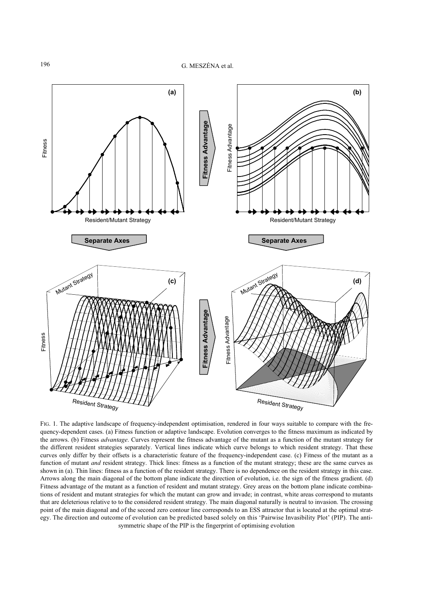

FIG. 1. The adaptive landscape of frequency-independent optimisation, rendered in four ways suitable to compare with the frequency-dependent cases. (a) Fitness function or adaptive landscape. Evolution converges to the fitness maximum as indicated by the arrows. (b) Fitness *advantage*. Curves represent the fitness advantage of the mutant as a function of the mutant strategy for the different resident strategies separately. Vertical lines indicate which curve belongs to which resident strategy. That these curves only differ by their offsets is a characteristic feature of the frequency-independent case. (c) Fitness of the mutant as a function of mutant *and* resident strategy. Thick lines: fitness as a function of the mutant strategy; these are the same curves as shown in (a). Thin lines: fitness as a function of the resident strategy. There is no dependence on the resident strategy in this case. Arrows along the main diagonal of the bottom plane indicate the direction of evolution, i.e. the sign of the fitness gradient. (d) Fitness advantage of the mutant as a function of resident and mutant strategy. Grey areas on the bottom plane indicate combinations of resident and mutant strategies for which the mutant can grow and invade; in contrast, white areas correspond to mutants that are deleterious relative to to the considered resident strategy. The main diagonal naturally is neutral to invasion. The crossing point of the main diagonal and of the second zero contour line corresponds to an ESS attractor that is located at the optimal strategy. The direction and outcome of evolution can be predicted based solely on this 'Pairwise Invasibility Plot' (PIP). The antisymmetric shape of the PIP is the fingerprint of optimising evolution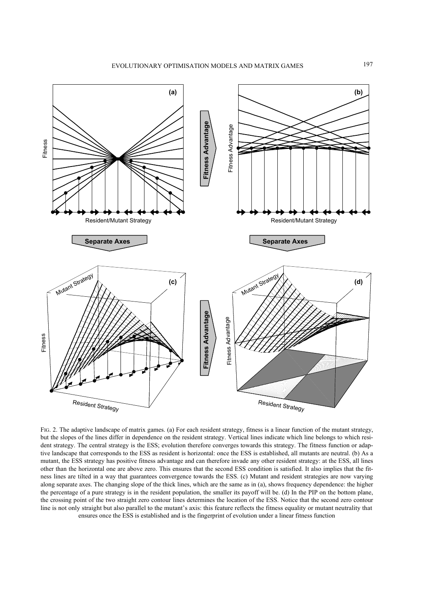

FIG. 2. The adaptive landscape of matrix games. (a) For each resident strategy, fitness is a linear function of the mutant strategy, but the slopes of the lines differ in dependence on the resident strategy. Vertical lines indicate which line belongs to which resident strategy. The central strategy is the ESS; evolution therefore converges towards this strategy. The fitness function or adaptive landscape that corresponds to the ESS as resident is horizontal: once the ESS is established, all mutants are neutral. (b) As a mutant, the ESS strategy has positive fitness advantage and can therefore invade any other resident strategy: at the ESS, all lines other than the horizontal one are above zero. This ensures that the second ESS condition is satisfied. It also implies that the fitness lines are tilted in a way that guarantees convergence towards the ESS. (c) Mutant and resident strategies are now varying along separate axes. The changing slope of the thick lines, which are the same as in (a), shows frequency dependence: the higher the percentage of a pure strategy is in the resident population, the smaller its payoff will be. (d) In the PIP on the bottom plane, the crossing point of the two straight zero contour lines determines the location of the ESS. Notice that the second zero contour line is not only straight but also parallel to the mutant's axis: this feature reflects the fitness equality or mutant neutrality that ensures once the ESS is established and is the fingerprint of evolution under a linear fitness function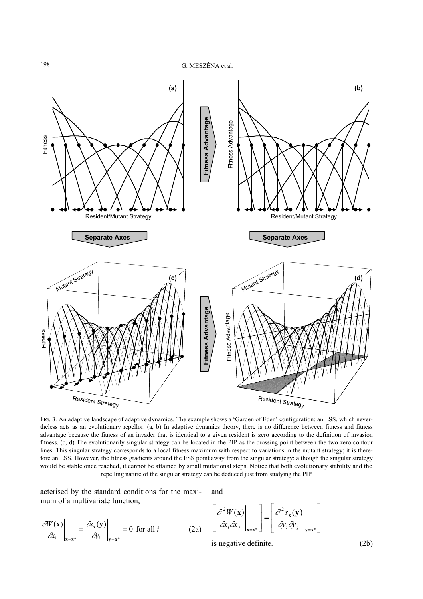

FIG. 3. An adaptive landscape of adaptive dynamics. The example shows a 'Garden of Eden' configuration: an ESS, which nevertheless acts as an evolutionary repellor. (a, b) In adaptive dynamics theory, there is no difference between fitness and fitness advantage because the fitness of an invader that is identical to a given resident is zero according to the definition of invasion fitness. (c, d) The evolutionarily singular strategy can be located in the PIP as the crossing point between the two zero contour lines. This singular strategy corresponds to a local fitness maximum with respect to variations in the mutant strategy; it is therefore an ESS. However, the fitness gradients around the ESS point away from the singular strategy: although the singular strategy would be stable once reached, it cannot be attained by small mutational steps. Notice that both evolutionary stability and the

acterised by the standard conditions for the maximum of a multivariate function, and

$$
\left. \frac{\partial W(\mathbf{x})}{\partial x_i} \right|_{\mathbf{x} = \mathbf{x}^*} = \left. \frac{\partial \mathbf{x}(\mathbf{y})}{\partial y_i} \right|_{\mathbf{y} = \mathbf{x}^*} = 0 \text{ for all } i \tag{2a}
$$

$$
\left[\frac{\partial^2 W(\mathbf{x})}{\partial x_i \partial x_j}\Big|_{\mathbf{x}=\mathbf{x}^*}\right] = \left[\frac{\partial^2 s_{\mathbf{x}}(\mathbf{y})}{\partial y_i \partial y_j}\Big|_{\mathbf{y}=\mathbf{x}^*}\right]
$$

is negative definite. (2b)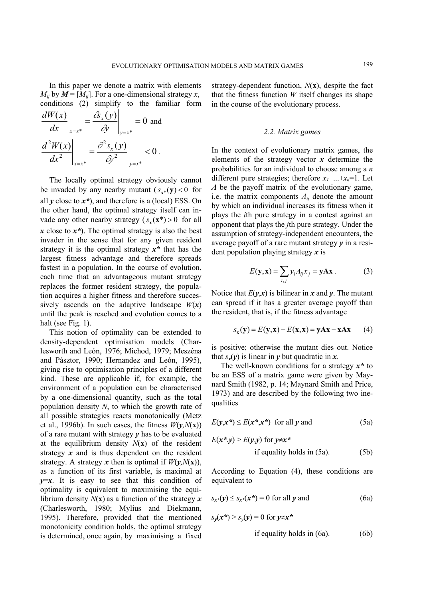In this paper we denote a matrix with elements  $M_{ii}$  by  $M = [M_{ii}]$ . For a one-dimensional strategy *x*, conditions (2) simplify to the familiar form

$$
\frac{dW(x)}{dx}\Big|_{x=x^*} = \frac{\hat{\sigma}_x(y)}{\hat{\sigma}_x}\Big|_{y=x^*} = 0 \text{ and}
$$

$$
\frac{d^2W(x)}{dx^2}\Big|_{x=x^*} = \frac{\hat{\sigma}_x(y)}{\hat{\sigma}_x(y)}\Big|_{y=x^*} < 0.
$$

The locally optimal strategy obviously cannot be invaded by any nearby mutant  $(s_{x^*}(y) < 0$  for all *y* close to *x\**), and therefore is a (local) ESS. On the other hand, the optimal strategy itself can invade any other nearby strategy  $(s_x(\mathbf{x}^*) > 0$  for all *x* close to *x\**). The optimal strategy is also the best invader in the sense that for any given resident strategy it is the optimal strategy *x\** that has the largest fitness advantage and therefore spreads fastest in a population. In the course of evolution, each time that an advantageous mutant strategy replaces the former resident strategy, the population acquires a higher fitness and therefore successively ascends on the adaptive landscape  $W(x)$ until the peak is reached and evolution comes to a halt (see Fig. 1).

This notion of optimality can be extended to density-dependent optimisation models (Charlesworth and León, 1976; Michod, 1979; Meszéna and Pásztor, 1990; Hernandez and León, 1995), giving rise to optimisation principles of a different kind. These are applicable if, for example, the environment of a population can be characterised by a one-dimensional quantity, such as the total population density *N*, to which the growth rate of all possible strategies reacts monotonically (Metz et al., 1996b). In such cases, the fitness  $W(v, N(x))$ of a rare mutant with strategy *y* has to be evaluated at the equilibrium density  $N(x)$  of the resident strategy  $x$  and is thus dependent on the resident strategy. A strategy *x* then is optimal if  $W(\mathbf{v},N(\mathbf{x}))$ , as a function of its first variable, is maximal at  $y=x$ . It is easy to see that this condition of optimality is equivalent to maximising the equilibrium density *N*(**x**) as a function of the strategy *x* (Charlesworth, 1980; Mylius and Diekmann, 1995). Therefore, provided that the mentioned monotonicity condition holds, the optimal strategy is determined, once again, by maximising a fixed

strategy-dependent function,  $N(\mathbf{x})$ , despite the fact that the fitness function  $W$  itself changes its shape in the course of the evolutionary process.

#### *2.2. Matrix games*

In the context of evolutionary matrix games, the elements of the strategy vector *x* determine the probabilities for an individual to choose among a *n* different pure strategies; therefore  $x_1 + ... + x_n = 1$ . Let *A* be the payoff matrix of the evolutionary game, i.e. the matrix components  $A_{ij}$  denote the amount by which an individual increases its fitness when it plays the *i*th pure strategy in a contest against an opponent that plays the *j*th pure strategy. Under the assumption of strategy-independent encounters, the average payoff of a rare mutant strategy *y* in a resident population playing strategy *x* is

$$
E(\mathbf{y}, \mathbf{x}) = \sum_{i,j} y_i A_{ij} x_j = \mathbf{y} \mathbf{A} \mathbf{x} .
$$
 (3)

Notice that  $E(\mathbf{v}, \mathbf{x})$  is bilinear in x and y. The mutant can spread if it has a greater average payoff than the resident, that is, if the fitness advantage

$$
s_{\mathbf{x}}(\mathbf{y}) = E(\mathbf{y}, \mathbf{x}) - E(\mathbf{x}, \mathbf{x}) = \mathbf{y} \mathbf{A} \mathbf{x} - \mathbf{x} \mathbf{A} \mathbf{x} \tag{4}
$$

is positive; otherwise the mutant dies out. Notice that  $s_x(y)$  is linear in *y* but quadratic in *x*.

The well-known conditions for a strategy *x\** to be an ESS of a matrix game were given by Maynard Smith (1982, p. 14; Maynard Smith and Price, 1973) and are described by the following two inequalities

$$
E(y, x^*) \le E(x^*, x^*) \text{ for all } y \text{ and } (5a)
$$

$$
E(x^*y) > E(y,y) \text{ for } y \neq x^*
$$
  
if equality holds in (5a).

According to Equation (4), these conditions are equivalent to

$$
s_{x^*}(y) \leq s_{x^*}(x^*) = 0 \text{ for all } y \text{ and } \tag{6a}
$$

$$
s_{y}(x^*) > s_{y}(y) = 0 \text{ for } y \neq x^*
$$

if equality holds in 
$$
(6a)
$$
.  $(6b)$ 

 $(5b)$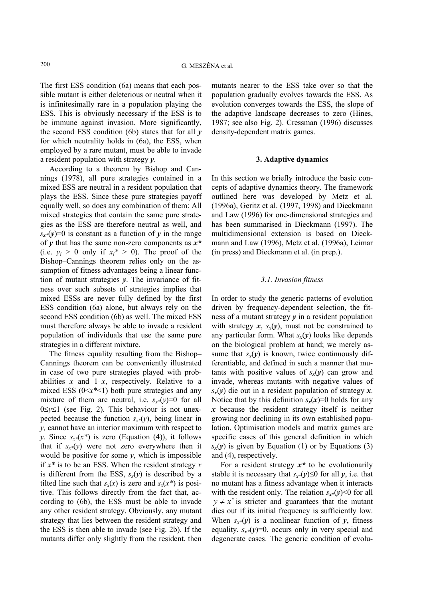The first ESS condition (6a) means that each possible mutant is either deleterious or neutral when it is infinitesimally rare in a population playing the ESS. This is obviously necessary if the ESS is to be immune against invasion. More significantly, the second ESS condition (6b) states that for all *y* for which neutrality holds in (6a), the ESS, when employed by a rare mutant, must be able to invade a resident population with strategy *y*.

According to a theorem by Bishop and Cannings (1978), all pure strategies contained in a mixed ESS are neutral in a resident population that plays the ESS. Since these pure strategies payoff equally well, so does any combination of them: All mixed strategies that contain the same pure strategies as the ESS are therefore neutral as well, and  $s_{r*}(y)=0$  is constant as a function of *y* in the range of *y* that has the same non-zero components as *x\** (i.e.  $y_i > 0$  only if  $x_i^* > 0$ ). The proof of the Bishop–Cannings theorem relies only on the assumption of fitness advantages being a linear function of mutant strategies *y*. The invariance of fitness over such subsets of strategies implies that mixed ESSs are never fully defined by the first ESS condition (6a) alone, but always rely on the second ESS condition (6b) as well. The mixed ESS must therefore always be able to invade a resident population of individuals that use the same pure strategies in a different mixture.

The fitness equality resulting from the Bishop– Cannings theorem can be conveniently illustrated in case of two pure strategies played with probabilities *x* and  $1-x$ , respectively. Relative to a mixed ESS  $(0 \le x^* \le 1)$  both pure strategies and any mixture of them are neutral, i.e.  $s_{x*}(y)=0$  for all 0≤*y*≤1 (see Fig. 2). This behaviour is not unexpected because the function  $s_{x*}(y)$ , being linear in *y,* cannot have an interior maximum with respect to *y*. Since  $s_x*(x^*)$  is zero (Equation (4)), it follows that if  $s_{x*}(y)$  were not zero everywhere then it would be positive for some *y*, which is impossible if *x\** is to be an ESS. When the resident strategy *x* is different from the ESS,  $s<sub>x</sub>(y)$  is described by a tilted line such that  $s<sub>x</sub>(x)$  is zero and  $s<sub>x</sub>(x^*)$  is positive. This follows directly from the fact that, according to (6b), the ESS must be able to invade any other resident strategy. Obviously, any mutant strategy that lies between the resident strategy and the ESS is then able to invade (see Fig. 2b). If the mutants differ only slightly from the resident, then

mutants nearer to the ESS take over so that the population gradually evolves towards the ESS. As evolution converges towards the ESS, the slope of the adaptive landscape decreases to zero (Hines, 1987; see also Fig. 2). Cressman (1996) discusses density-dependent matrix games.

# **3. Adaptive dynamics**

In this section we briefly introduce the basic concepts of adaptive dynamics theory. The framework outlined here was developed by Metz et al. (1996a), Geritz et al. (1997, 1998) and Dieckmann and Law (1996) for one-dimensional strategies and has been summarised in Dieckmann (1997). The multidimensional extension is based on Dieckmann and Law (1996), Metz et al. (1996a), Leimar (in press) and Dieckmann et al. (in prep.).

# *3.1. Invasion fitness*

In order to study the generic patterns of evolution driven by frequency-dependent selection, the fitness of a mutant strategy *y* in a resident population with strategy  $x$ ,  $s_x(y)$ , must not be constrained to any particular form. What  $s_r(y)$  looks like depends on the biological problem at hand; we merely assume that  $s_x(y)$  is known, twice continuously differentiable, and defined in such a manner that mutants with positive values of  $s<sub>x</sub>(y)$  can grow and invade, whereas mutants with negative values of  $s_r(v)$  die out in a resident population of strategy *x*. Notice that by this definition  $s_x(x)=0$  holds for any *x* because the resident strategy itself is neither growing nor declining in its own established population. Optimisation models and matrix games are specific cases of this general definition in which  $s_x(y)$  is given by Equation (1) or by Equations (3) and (4), respectively.

For a resident strategy *x\** to be evolutionarily stable it is necessary that  $s_{r*}(\nu) \leq 0$  for all  $\nu$ , i.e. that no mutant has a fitness advantage when it interacts with the resident only. The relation  $s_x*(y) < 0$  for all  $y \neq x^*$  is stricter and guarantees that the mutant dies out if its initial frequency is sufficiently low. When  $s_{x*}(y)$  is a nonlinear function of  $y$ , fitness equality,  $s_{r*}(y)=0$ , occurs only in very special and degenerate cases. The generic condition of evolu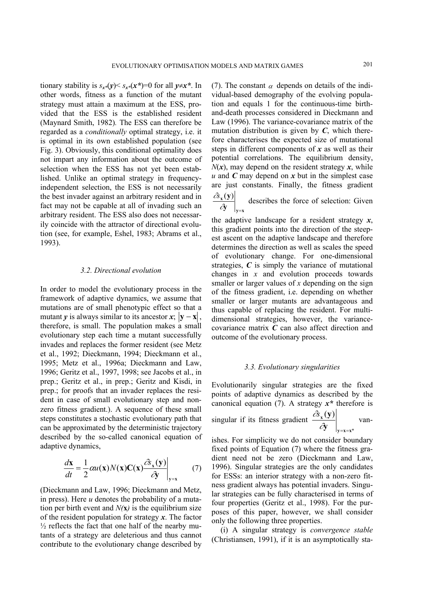tionary stability is  $s_{r*}(v) \leq s_{r*}(x^*)=0$  for all  $v \neq x^*$ . In other words, fitness as a function of the mutant strategy must attain a maximum at the ESS, provided that the ESS is the established resident (Maynard Smith, 1982)*.* The ESS can therefore be regarded as a *conditionally* optimal strategy, i.e. it is optimal in its own established population (see Fig. 3). Obviously, this conditional optimality does not impart any information about the outcome of selection when the ESS has not yet been established. Unlike an optimal strategy in frequencyindependent selection, the ESS is not necessarily the best invader against an arbitrary resident and in fact may not be capable at all of invading such an arbitrary resident. The ESS also does not necessarily coincide with the attractor of directional evolution (see, for example, Eshel, 1983; Abrams et al., 1993).

#### *3.2. Directional evolution*

In order to model the evolutionary process in the framework of adaptive dynamics, we assume that mutations are of small phenotypic effect so that a mutant *y* is always similar to its ancestor *x*;  $|\mathbf{v} - \mathbf{x}|$ , therefore, is small. The population makes a small evolutionary step each time a mutant successfully invades and replaces the former resident (see Metz et al., 1992; Dieckmann, 1994; Dieckmann et al., 1995; Metz et al., 1996a; Dieckmann and Law, 1996; Geritz et al., 1997, 1998; see Jacobs et al., in prep.; Geritz et al., in prep.; Geritz and Kisdi, in prep.; for proofs that an invader replaces the resident in case of small evolutionary step and nonzero fitness gradient.). A sequence of these small steps constitutes a stochastic evolutionary path that can be approximated by the deterministic trajectory described by the so-called canonical equation of adaptive dynamics,

$$
\frac{d\mathbf{x}}{dt} = \frac{1}{2}\alpha u(\mathbf{x})N(\mathbf{x})\mathbf{C}(\mathbf{x})\frac{\partial \mathbf{\hat{x}}_{\mathbf{x}}(\mathbf{y})}{\partial \mathbf{y}}\bigg|_{\mathbf{y}=\mathbf{x}}\tag{7}
$$

(Dieckmann and Law, 1996; Dieckmann and Metz, in press). Here *u* denotes the probability of a mutation per birth event and  $N(x)$  is the equilibrium size of the resident population for strategy *x*. The factor  $\frac{1}{2}$  reflects the fact that one half of the nearby mutants of a strategy are deleterious and thus cannot contribute to the evolutionary change described by

(7). The constant  $\alpha$  depends on details of the individual-based demography of the evolving population and equals 1 for the continuous-time birthand-death processes considered in Dieckmann and Law (1996). The variance-covariance matrix of the mutation distribution is given by  $C$ , which therefore characterises the expected size of mutational steps in different components of *x* as well as their potential correlations. The equilibrium density,  $N(x)$ , may depend on the resident strategy  $x$ , while *u* and *C* may depend on *x* but in the simplest case are just constants. Finally, the fitness gradient

**y x x y**  $\partial \hspace{-0.2cm} \bar{\partial} \hspace{-0.2cm} y = \left. \begin{matrix} \frac{1}{2} & \frac{1}{2} \end{matrix} \right|_{y=0}$ describes the force of selection: Given

the adaptive landscape for a resident strategy *x*, this gradient points into the direction of the steepest ascent on the adaptive landscape and therefore determines the direction as well as scales the speed of evolutionary change. For one-dimensional strategies, *C* is simply the variance of mutational changes in *x* and evolution proceeds towards smaller or larger values of *x* depending on the sign of the fitness gradient, i.e. depending on whether smaller or larger mutants are advantageous and thus capable of replacing the resident. For multidimensional strategies, however, the variancecovariance matrix *C* can also affect direction and outcome of the evolutionary process.

#### *3.3. Evolutionary singularities*

Evolutionarily singular strategies are the fixed points of adaptive dynamics as described by the canonical equation (7). A strategy *x\** therefore is

singular if its fitness gradient 
$$
\frac{\partial x(\mathbf{y})}{\partial y}\Big|_{y=x=x^*}
$$
 van-

ishes. For simplicity we do not consider boundary fixed points of Equation (7) where the fitness gradient need not be zero (Dieckmann and Law, 1996). Singular strategies are the only candidates for ESSs: an interior strategy with a non-zero fitness gradient always has potential invaders. Singular strategies can be fully characterised in terms of four properties (Geritz et al., 1998). For the purposes of this paper, however, we shall consider only the following three properties.

(i) A singular strategy is *convergence stable* (Christiansen, 1991), if it is an asymptotically sta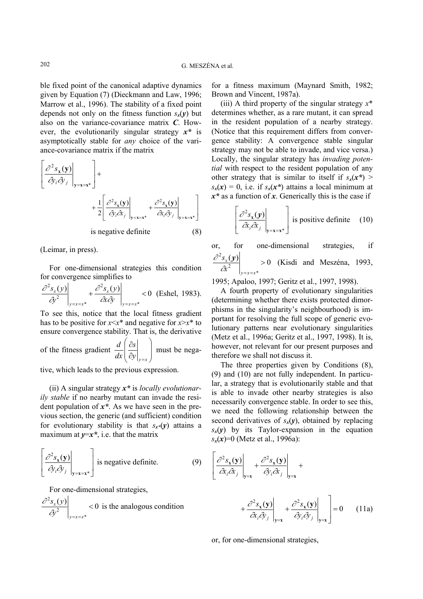ble fixed point of the canonical adaptive dynamics given by Equation (7) (Dieckmann and Law, 1996; Marrow et al., 1996). The stability of a fixed point depends not only on the fitness function  $s_r(y)$  but also on the variance-covariance matrix *C*. However, the evolutionarily singular strategy *x\** is asymptotically stable for *any* choice of the variance-covariance matrix if the matrix

$$
\left[\frac{\partial^2 s_x(\mathbf{y})}{\partial y_i \partial y_j}\Big|_{\mathbf{y}=\mathbf{x}=\mathbf{x}^*}\right] +
$$
  
+ 
$$
\frac{1}{2} \left[\frac{\partial^2 s_x(\mathbf{y})}{\partial y_i \partial x_j}\Big|_{\mathbf{y}=\mathbf{x}=\mathbf{x}^*} + \frac{\partial^2 s_x(\mathbf{y})}{\partial x_i \partial y_j}\Big|_{\mathbf{y}=\mathbf{x}=\mathbf{x}^*}\right]
$$
  
is negative definite (8)

(Leimar, in press).

For one-dimensional strategies this condition for convergence simplifies to

$$
\left. \frac{\partial^2 s_x(y)}{\partial y^2} \right|_{y=x=x^*} + \left. \frac{\partial^2 s_x(y)}{\partial x \partial y} \right|_{y=x=x^*} < 0 \text{ (Eshell, 1983).}
$$

To see this, notice that the local fitness gradient has to be positive for  $x \leq x^*$  and negative for  $x \geq x^*$  to ensure convergence stability. That is, the derivative

of the fitness gradient 
$$
\frac{d}{dx} \left( \frac{\partial s}{\partial y} \bigg|_{y=x} \right)
$$
 must be nega-

tive, which leads to the previous expression.

(ii) A singular strategy *x\** is *locally evolutionarily stable* if no nearby mutant can invade the resident population of *x\**. As we have seen in the previous section, the generic (and sufficient) condition for evolutionary stability is that  $s_{r*}(v)$  attains a maximum at  $y=x^*$ , i.e. that the matrix

$$
\left[\frac{\partial^2 s_x(\mathbf{y})}{\partial y_i \partial y_j}\Big|_{\mathbf{y}=\mathbf{x}=\mathbf{x}^*}\right]
$$
 is negative definite. (9)

For one-dimensional strategies,

$$
\left. \frac{\partial^2 s_x(y)}{\partial y^2} \right|_{y=x=x^*} < 0
$$
 is the analogous condition

for a fitness maximum (Maynard Smith, 1982; Brown and Vincent, 1987a).

(iii) A third property of the singular strategy *x*\* determines whether, as a rare mutant, it can spread in the resident population of a nearby strategy. (Notice that this requirement differs from convergence stability: A convergence stable singular strategy may not be able to invade, and vice versa.) Locally, the singular strategy has *invading potential* with respect to the resident population of any other strategy that is similar to itself if  $s<sub>x</sub>(x<sup>*</sup>)$  >  $s_x(x) = 0$ , i.e. if  $s_x(x^*)$  attains a local minimum at *x\** as a function of *x*. Generically this is the case if

$$
\left[\frac{\partial^2 s_x(\mathbf{y})}{\partial x_i \partial x_j}\bigg|_{\mathbf{y}=\mathbf{x}=\mathbf{x}^*}\right]
$$
 is positive definite (10)

or, for one-dimensional strategies, if  $\frac{\partial^2 s_x(\mathbf{y})}{\partial x^2}$  > 0 (Kisdi and Meszéna, 1993, \* 2 2 *y* =*x* =*x x x s* ∂

1995; Apaloo, 1997; Geritz et al., 1997, 1998).

A fourth property of evolutionary singularities (determining whether there exists protected dimorphisms in the singularity's neighbourhood) is important for resolving the full scope of generic evolutionary patterns near evolutionary singularities (Metz et al., 1996a; Geritz et al., 1997, 1998). It is, however, not relevant for our present purposes and therefore we shall not discuss it.

The three properties given by Conditions (8), (9) and (10) are not fully independent. In particular, a strategy that is evolutionarily stable and that is able to invade other nearby strategies is also necessarily convergence stable. In order to see this, we need the following relationship between the second derivatives of  $s_x(y)$ , obtained by replacing  $s_x(y)$  by its Taylor-expansion in the equation *sx*(*x*)=0 (Metz et al., 1996a):

$$
\left[\frac{\partial^2 s_{\mathbf{x}}(\mathbf{y})}{\partial x_i \partial x_j}\bigg|_{\mathbf{y}=\mathbf{x}} + \frac{\partial^2 s_{\mathbf{x}}(\mathbf{y})}{\partial y_i \partial x_j}\bigg|_{\mathbf{y}=\mathbf{x}} + \right]
$$

$$
+\frac{\partial^2 s_x(\mathbf{y})}{\partial x_i \partial y_j}\Big|_{\mathbf{y}=\mathbf{x}} + \frac{\partial^2 s_x(\mathbf{y})}{\partial y_i \partial y_j}\Big|_{\mathbf{y}=\mathbf{x}}\Bigg] = 0 \qquad (11a)
$$

or, for one-dimensional strategies,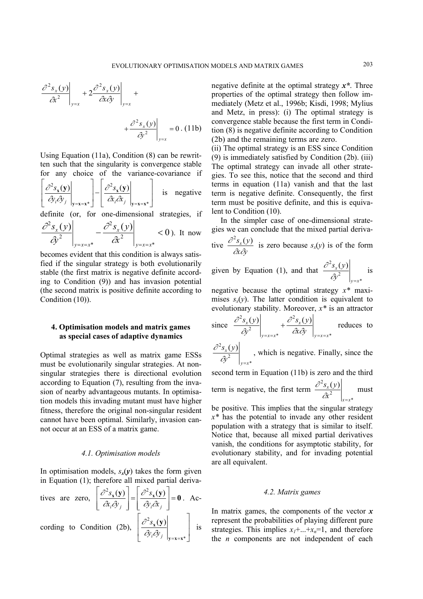$$
\frac{\partial^2 s_x(y)}{\partial t^2}\Big|_{y=x} + 2\frac{\partial^2 s_x(y)}{\partial t \partial y}\Big|_{y=x} + \frac{\partial^2 s_x(y)}{\partial y^2}\Big|_{y=x} = 0. (11b)
$$

Using Equation (11a), Condition (8) can be rewritten such that the singularity is convergence stable for any choice of the variance-covariance if

$$
\left[ \frac{\partial^2 s_x(\mathbf{y})}{\partial y_i \partial y_j} \bigg|_{\mathbf{y} = \mathbf{x} = \mathbf{x}^*} \right] - \left[ \frac{\partial^2 s_x(\mathbf{y})}{\partial x_i \partial x_j} \bigg|_{\mathbf{y} = \mathbf{x} = \mathbf{x}^*} \right] \text{ is negative}
$$

definite (or, for one-dimensional strategies, if

$$
\left. \frac{\partial^2 s_x(y)}{\partial y^2} \right|_{y=x=x^*} - \frac{\partial^2 s_x(y)}{\partial z^2} \right|_{y=x=x^*} < 0
$$
.) It now

becomes evident that this condition is always satisfied if the singular strategy is both evolutionarily stable (the first matrix is negative definite according to Condition (9)) and has invasion potential (the second matrix is positive definite according to Condition (10)).

# **4. Optimisation models and matrix games as special cases of adaptive dynamics**

Optimal strategies as well as matrix game ESSs must be evolutionarily singular strategies. At nonsingular strategies there is directional evolution according to Equation (7), resulting from the invasion of nearby advantageous mutants. In optimisation models this invading mutant must have higher fitness, therefore the original non-singular resident cannot have been optimal. Similarly, invasion cannot occur at an ESS of a matrix game.

#### *4.1. Optimisation models*

In optimisation models,  $s_x(y)$  takes the form given in Equation (1); therefore all mixed partial deriva-

tives are zero, 
$$
\left[\frac{\partial^2 s_x(\mathbf{y})}{\partial x_i \partial y_j}\right] = \left[\frac{\partial^2 s_x(\mathbf{y})}{\partial y_i \partial x_j}\right] = \mathbf{0}
$$
. According to Condition (2b),  $\left[\frac{\partial^2 s_x(\mathbf{y})}{\partial y_i \partial y_j}\right]_{\mathbf{y} = \mathbf{x} = \mathbf{x}^*}$  is

negative definite at the optimal strategy *x\**. Three properties of the optimal strategy then follow immediately (Metz et al., 1996b; Kisdi, 1998; Mylius and Metz, in press): (i) The optimal strategy is convergence stable because the first term in Condition (8) is negative definite according to Condition (2b) and the remaining terms are zero.

(ii) The optimal strategy is an ESS since Condition (9) is immediately satisfied by Condition (2b). (iii) The optimal strategy can invade all other strategies. To see this, notice that the second and third terms in equation (11a) vanish and that the last term is negative definite. Consequently, the first term must be positive definite, and this is equivalent to Condition (10).

In the simpler case of one-dimensional strategies we can conclude that the mixed partial derivative  $\frac{\partial^2 s_x(y)}{\partial x \partial y}$  is zero because  $s_x(y)$  is of the form

$$
\frac{d}{dx dy}
$$
 is zero because  $s_x(y)$  is of the form

given by Equation (1), and that \* 2  $2s_r(y)$ *y x x y s y*  $\partial y^2 \big|_{y=0}$  $\frac{\partial^2 s_x(y)}{\partial x^2}$  is

negative because the optimal strategy *x\** maximises  $s_x(y)$ . The latter condition is equivalent to evolutionary stability. Moreover, *x\** is an attractor

since 
$$
\frac{\partial^2 s_x(y)}{\partial y^2}\Big|_{y=x=x^*} + \frac{\partial^2 s_x(y)}{\partial x \partial y}\Big|_{y=x=x^*}
$$
 reduces to

$$
\left. \frac{\partial^2 s_x(y)}{\partial y^2} \right|_{y=x^*}
$$
, which is negative. Finally, since the

second term in Equation (11b) is zero and the third  
term is negative, the first term 
$$
\frac{\partial^2 s_x(y)}{\partial x^2}\Big|_{x=x^*}
$$
 must

be positive. This implies that the singular strategy *x\** has the potential to invade any other resident population with a strategy that is similar to itself. Notice that, because all mixed partial derivatives vanish, the conditions for asymptotic stability, for evolutionary stability, and for invading potential are all equivalent.

#### *4.2. Matrix games*

In matrix games, the components of the vector *x* represent the probabilities of playing different pure strategies. This implies  $x_1 + ... + x_n = 1$ , and therefore the *n* components are not independent of each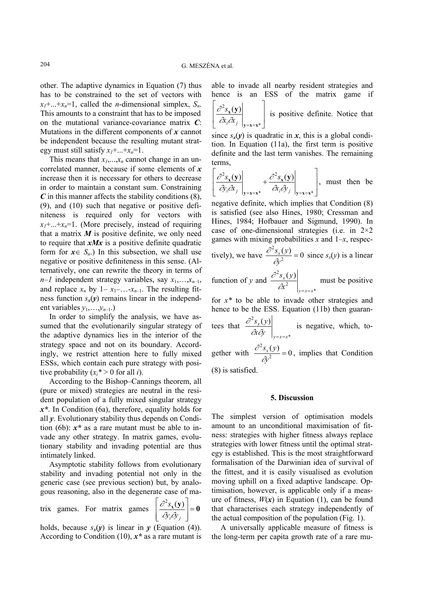other. The adaptive dynamics in Equation (7) thus has to be constrained to the set of vectors with  $x_1 + ... + x_n = 1$ , called the *n*-dimensional simplex,  $S_n$ . This amounts to a constraint that has to be imposed on the mutational variance-covariance matrix *C*: Mutations in the different components of *x* cannot be independent because the resulting mutant strategy must still satisfy  $x_1 + ... + x_n = 1$ .

This means that  $x_1, \ldots, x_n$  cannot change in an uncorrelated manner, because if some elements of *x* increase then it is necessary for others to decrease in order to maintain a constant sum. Constraining *C* in this manner affects the stability conditions (8), (9), and (10) such that negative or positive definiteness is required only for vectors with  $x_1 + ... + x_n = 1$ . (More precisely, instead of requiring that a matrix  $M$  is positive definite, we only need to require that *xMx* is a positive definite quadratic form for  $x \in S_n$ .) In this subsection, we shall use negative or positive definiteness in this sense. (Alternatively, one can rewrite the theory in terms of *n–1* independent strategy variables, say  $x_1, \ldots, x_{n-1}$ , and replace  $x_n$  by  $1-x_1-...-x_{n-1}$ . The resulting fitness function  $s_x(y)$  remains linear in the independent variables  $y_1, \ldots, y_{n-1}$ .)

In order to simplify the analysis, we have assumed that the evolutionarily singular strategy of the adaptive dynamics lies in the interior of the strategy space and not on its boundary. Accordingly, we restrict attention here to fully mixed ESSs, which contain each pure strategy with positive probability  $(x_i^* > 0$  for all *i*).

According to the Bishop–Cannings theorem, all (pure or mixed) strategies are neutral in the resident population of a fully mixed singular strategy *x\**. In Condition (6a), therefore, equality holds for all *y*. Evolutionary stability thus depends on Condition (6b): *x\** as a rare mutant must be able to invade any other strategy. In matrix games, evolutionary stability and invading potential are thus intimately linked.

Asymptotic stability follows from evolutionary stability and invading potential not only in the generic case (see previous section) but, by analogous reasoning, also in the degenerate case of ma-

trix games. For matrix games  $\left| \frac{U - S_X(y)}{Z}\right| = 0$  $\overline{\phantom{a}}$  $\overline{\phantom{a}}$ J  $\overline{\phantom{a}}$  $\mathsf{L}$  $\mathbf{r}$ L  $\mathbf{r}$  $\partial y_i \partial y_j$ *s* ∂v.∂  $\partial^2 s_{\mathbf{x}}(\mathbf{y})$ 

holds, because  $s_x(y)$  is linear in  $y$  (Equation (4)). According to Condition (10), *x\** as a rare mutant is able to invade all nearby resident strategies and hence is an ESS of the matrix game if L

 $\overline{\phantom{a}}$  $\overline{\phantom{a}}$ J  $\overline{\phantom{a}}$ L L L  $=\mathbf{x} = \mathbf{x}^*$  $2s_{\mathbf{x}}(\mathbf{y})$  $y = x = x$ **<sup>x</sup> y**  $\alpha_i \hat{\alpha}_j$ *s*  $\frac{\partial^2 s_x(\mathbf{y})}{\partial x \cdot \partial x}$  is positive definite. Notice that

since  $s_x(y)$  is quadratic in x, this is a global condition. In Equation (11a), the first term is positive definite and the last term vanishes. The remaining terms,

$$
\left[ \left. \frac{\partial^2 s_x(\mathbf{y})}{\partial y_i \partial x_j} \right|_{\mathbf{y} = \mathbf{x} = \mathbf{x}^*} + \left. \frac{\partial^2 s_x(\mathbf{y})}{\partial x_i \partial y_j} \right|_{\mathbf{y} = \mathbf{x} = \mathbf{x}^*} \right], \text{ must then be}
$$

negative definite, which implies that Condition (8) is satisfied (see also Hines, 1980; Cressman and Hines, 1984; Hofbauer and Sigmund, 1990). In case of one-dimensional strategies (i.e. in  $2\times 2$ ) games with mixing probabilities *x* and 1–*x*, respectively), we have  $\frac{\partial^2 s_x(y)}{\partial x^2} = 0$ 2  $\frac{s_x(y)}{3^2}$  =  $\frac{\partial^2 s_x(y)}{\partial x^2} = 0$  since  $s_x(y)$  is a linear

function of *y* and \* 2  $2s_r(y)$  $y = x = x$ *x x s y*  $\left.\partial x^2\right|_{y=x=0}$  $\frac{\partial^2 s_x(y)}{\partial^2}$  must be positive

for *x\** to be able to invade other strategies and hence to be the ESS. Equation (11b) then guarantees that \*  $^{2}s_{r}(y)$  $y = x = x$ *x x y s y*  $\left.\partial\!\!\! x\partial\!\!\! y\right|_{\!\scriptscriptstyle y=x=}$  $\frac{\partial^2 s_x(y)}{\partial x}$  is negative, which, to-2

gether with  $\frac{\partial^2 s_x(y)}{\partial x^2} = 0$  $\frac{s_x(y)}{3^2}$  =  $\frac{\partial^2 s_x(y)}{\partial x^2} = 0$ , implies that Condition

(8) is satisfied.

# **5. Discussion**

The simplest version of optimisation models amount to an unconditional maximisation of fitness: strategies with higher fitness always replace strategies with lower fitness until the optimal strategy is established. This is the most straightforward formalisation of the Darwinian idea of survival of the fittest, and it is easily visualised as evolution moving uphill on a fixed adaptive landscape. Optimisation, however, is applicable only if a measure of fitness,  $W(x)$  in Equation (1), can be found that characterises each strategy independently of the actual composition of the population (Fig. 1).

A universally applicable measure of fitness is the long-term per capita growth rate of a rare mu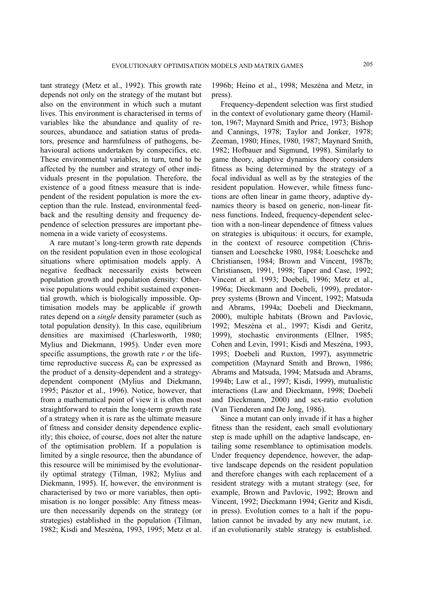tant strategy (Metz et al., 1992). This growth rate depends not only on the strategy of the mutant but also on the environment in which such a mutant lives. This environment is characterised in terms of variables like the abundance and quality of resources, abundance and satiation status of predators, presence and harmfulness of pathogens, behavioural actions undertaken by conspecifics, etc. These environmental variables, in turn, tend to be affected by the number and strategy of other individuals present in the population. Therefore, the existence of a good fitness measure that is independent of the resident population is more the exception than the rule. Instead, environmental feedback and the resulting density and frequency dependence of selection pressures are important phenomena in a wide variety of ecosystems.

A rare mutant's long-term growth rate depends on the resident population even in those ecological situations where optimisation models apply. A negative feedback necessarily exists between population growth and population density: Otherwise populations would exhibit sustained exponential growth, which is biologically impossible. Optimisation models may be applicable if growth rates depend on a *single* density parameter (such as total population density). In this case, equilibrium densities are maximised (Charlesworth, 1980; Mylius and Diekmann, 1995). Under even more specific assumptions, the growth rate *r* or the lifetime reproductive success  $R_0$  can be expressed as the product of a density-dependent and a strategydependent component (Mylius and Diekmann, 1995; Pásztor et al., 1996). Notice, however, that from a mathematical point of view it is often most straightforward to retain the long-term growth rate of a strategy when it is rare as the ultimate measure of fitness and consider density dependence explicitly; this choice, of course, does not alter the nature of the optimisation problem. If a population is limited by a single resource, then the abundance of this resource will be minimised by the evolutionarily optimal strategy (Tilman, 1982; Mylius and Diekmann, 1995). If, however, the environment is characterised by two or more variables, then optimisation is no longer possible: Any fitness measure then necessarily depends on the strategy (or strategies) established in the population (Tilman, 1982; Kisdi and Meszéna, 1993, 1995; Metz et al.

1996b; Heino et al., 1998; Meszéna and Metz, in press).

Frequency-dependent selection was first studied in the context of evolutionary game theory (Hamilton, 1967; Maynard Smith and Price, 1973; Bishop and Cannings, 1978; Taylor and Jonker, 1978; Zeeman, 1980; Hines, 1980, 1987; Maynard Smith, 1982; Hofbauer and Sigmund, 1998). Similarly to game theory, adaptive dynamics theory considers fitness as being determined by the strategy of a focal individual as well as by the strategies of the resident population. However, while fitness functions are often linear in game theory, adaptive dynamics theory is based on generic, non-linear fitness functions. Indeed, frequency-dependent selection with a non-linear dependence of fitness values on strategies is ubiquitous: it occurs, for example, in the context of resource competition (Christiansen and Loeschcke 1980, 1984; Loeschcke and Christiansen, 1984; Brown and Vincent, 1987b; Christiansen, 1991, 1998; Taper and Case, 1992; Vincent et al. 1993; Doebeli, 1996; Metz et al., 1996a; Dieckmann and Doebeli, 1999), predatorprey systems (Brown and Vincent, 1992; Matsuda and Abrams, 1994a; Doebeli and Dieckmann, 2000), multiple habitats (Brown and Pavlovic, 1992; Meszéna et al., 1997; Kisdi and Geritz, 1999), stochastic environments (Ellner, 1985; Cohen and Levin, 1991; Kisdi and Meszéna, 1993, 1995; Doebeli and Ruxton, 1997), asymmetric competition (Maynard Smith and Brown, 1986; Abrams and Matsuda, 1994; Matsuda and Abrams, 1994b; Law et al., 1997; Kisdi, 1999), mutualistic interactions (Law and Dieckmann, 1998; Doebeli and Dieckmann, 2000) and sex-ratio evolution (Van Tienderen and De Jong, 1986).

Since a mutant can only invade if it has a higher fitness than the resident, each small evolutionary step is made uphill on the adaptive landscape, entailing some resemblance to optimisation models. Under frequency dependence, however, the adaptive landscape depends on the resident population and therefore changes with each replacement of a resident strategy with a mutant strategy (see, for example, Brown and Pavlovic, 1992; Brown and Vincent, 1992; Dieckmann 1994; Geritz and Kisdi, in press). Evolution comes to a halt if the population cannot be invaded by any new mutant, i.e. if an evolutionarily stable strategy is established.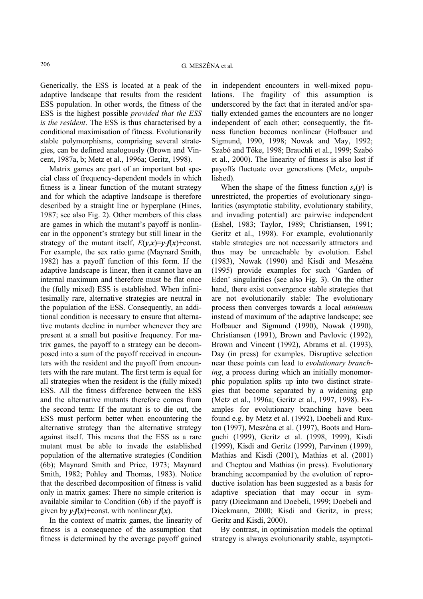Generically, the ESS is located at a peak of the adaptive landscape that results from the resident ESS population. In other words, the fitness of the ESS is the highest possible *provided that the ESS is the resident*. The ESS is thus characterised by a conditional maximisation of fitness. Evolutionarily stable polymorphisms, comprising several strategies, can be defined analogously (Brown and Vincent, 1987a, b; Metz et al., 1996a; Geritz, 1998).

Matrix games are part of an important but special class of frequency-dependent models in which fitness is a linear function of the mutant strategy and for which the adaptive landscape is therefore described by a straight line or hyperplane (Hines, 1987; see also Fig. 2). Other members of this class are games in which the mutant's payoff is nonlinear in the opponent's strategy but still linear in the strategy of the mutant itself,  $E(y,x)=y \cdot f(x)+\text{const.}$ For example, the sex ratio game (Maynard Smith, 1982) has a payoff function of this form. If the adaptive landscape is linear, then it cannot have an internal maximum and therefore must be flat once the (fully mixed) ESS is established. When infinitesimally rare, alternative strategies are neutral in the population of the ESS. Consequently, an additional condition is necessary to ensure that alternative mutants decline in number whenever they are present at a small but positive frequency. For matrix games, the payoff to a strategy can be decomposed into a sum of the payoff received in encounters with the resident and the payoff from encounters with the rare mutant. The first term is equal for all strategies when the resident is the (fully mixed) ESS. All the fitness difference between the ESS and the alternative mutants therefore comes from the second term: If the mutant is to die out, the ESS must perform better when encountering the alternative strategy than the alternative strategy against itself. This means that the ESS as a rare mutant must be able to invade the established population of the alternative strategies (Condition (6b); Maynard Smith and Price, 1973; Maynard Smith, 1982; Pohley and Thomas, 1983). Notice that the described decomposition of fitness is valid only in matrix games: There no simple criterion is available similar to Condition (6b) if the payoff is given by  $\psi f(x)$ +const. with nonlinear  $f(x)$ .

In the context of matrix games, the linearity of fitness is a consequence of the assumption that fitness is determined by the average payoff gained

in independent encounters in well-mixed populations. The fragility of this assumption is underscored by the fact that in iterated and/or spatially extended games the encounters are no longer independent of each other; consequently, the fitness function becomes nonlinear (Hofbauer and Sigmund, 1990, 1998; Nowak and May, 1992; Szabó and Tőke, 1998; Brauchli et al., 1999; Szabó et al., 2000). The linearity of fitness is also lost if payoffs fluctuate over generations (Metz, unpublished).

When the shape of the fitness function  $s_r(v)$  is unrestricted, the properties of evolutionary singularities (asymptotic stability, evolutionary stability, and invading potential) are pairwise independent (Eshel, 1983; Taylor, 1989; Christiansen, 1991; Geritz et al., 1998). For example, evolutionarily stable strategies are not necessarily attractors and thus may be unreachable by evolution. Eshel (1983), Nowak (1990) and Kisdi and Meszéna (1995) provide examples for such 'Garden of Eden' singularities (see also Fig. 3). On the other hand, there exist convergence stable strategies that are not evolutionarily stable: The evolutionary process then converges towards a local *minimum* instead of maximum of the adaptive landscape; see Hofbauer and Sigmund (1990), Nowak (1990), Christiansen (1991), Brown and Pavlovic (1992), Brown and Vincent (1992), Abrams et al. (1993), Day (in press) for examples. Disruptive selection near these points can lead to *evolutionary branching*, a process during which an initially monomorphic population splits up into two distinct strategies that become separated by a widening gap (Metz et al., 1996a; Geritz et al., 1997, 1998). Examples for evolutionary branching have been found e.g. by Metz et al. (1992), Doebeli and Ruxton (1997), Meszéna et al. (1997), Boots and Haraguchi (1999), Geritz et al. (1998, 1999), Kisdi (1999), Kisdi and Geritz (1999), Parvinen (1999), Mathias and Kisdi (2001), Mathias et al. (2001) and Cheptou and Mathias (in press). Evolutionary branching accompanied by the evolution of reproductive isolation has been suggested as a basis for adaptive speciation that may occur in sympatry (Dieckmann and Doebeli, 1999; Doebeli and Dieckmann, 2000; Kisdi and Geritz, in press; Geritz and Kisdi, 2000).

By contrast, in optimisation models the optimal strategy is always evolutionarily stable, asymptoti-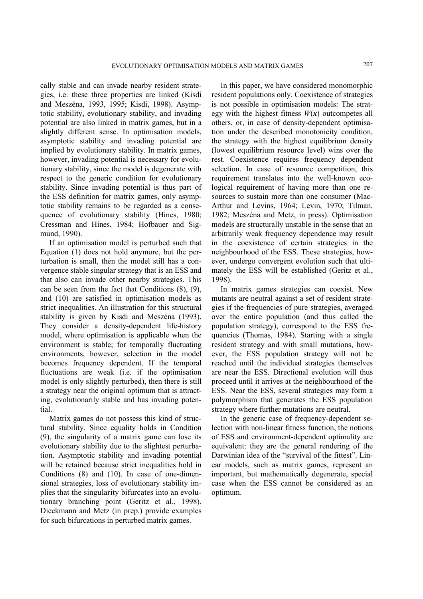cally stable and can invade nearby resident strategies, i.e. these three properties are linked (Kisdi and Meszéna, 1993, 1995; Kisdi, 1998). Asymptotic stability, evolutionary stability, and invading potential are also linked in matrix games, but in a slightly different sense. In optimisation models, asymptotic stability and invading potential are implied by evolutionary stability. In matrix games, however, invading potential is necessary for evolutionary stability, since the model is degenerate with respect to the generic condition for evolutionary stability. Since invading potential is thus part of the ESS definition for matrix games, only asymptotic stability remains to be regarded as a consequence of evolutionary stability (Hines, 1980; Cressman and Hines, 1984; Hofbauer and Sigmund, 1990).

If an optimisation model is perturbed such that Equation (1) does not hold anymore, but the perturbation is small, then the model still has a convergence stable singular strategy that is an ESS and that also can invade other nearby strategies. This can be seen from the fact that Conditions (8), (9), and (10) are satisfied in optimisation models as strict inequalities. An illustration for this structural stability is given by Kisdi and Meszéna (1993). They consider a density-dependent life-history model, where optimisation is applicable when the environment is stable; for temporally fluctuating environments, however, selection in the model becomes frequency dependent. If the temporal fluctuations are weak (i.e. if the optimisation model is only slightly perturbed), then there is still a strategy near the original optimum that is attracting, evolutionarily stable and has invading potential.

Matrix games do not possess this kind of structural stability. Since equality holds in Condition (9), the singularity of a matrix game can lose its evolutionary stability due to the slightest perturbation. Asymptotic stability and invading potential will be retained because strict inequalities hold in Conditions (8) and (10). In case of one-dimensional strategies, loss of evolutionary stability implies that the singularity bifurcates into an evolutionary branching point (Geritz et al., 1998). Dieckmann and Metz (in prep.) provide examples for such bifurcations in perturbed matrix games.

In this paper, we have considered monomorphic resident populations only. Coexistence of strategies is not possible in optimisation models: The strategy with the highest fitness  $W(x)$  outcompetes all others, or, in case of density-dependent optimisation under the described monotonicity condition, the strategy with the highest equilibrium density (lowest equilibrium resource level) wins over the rest. Coexistence requires frequency dependent selection. In case of resource competition, this requirement translates into the well-known ecological requirement of having more than one resources to sustain more than one consumer (Mac-Arthur and Levins, 1964; Levin, 1970; Tilman, 1982; Meszéna and Metz, in press). Optimisation models are structurally unstable in the sense that an arbitrarily weak frequency dependence may result in the coexistence of certain strategies in the neighbourhood of the ESS. These strategies, however, undergo convergent evolution such that ultimately the ESS will be established (Geritz et al., 1998).

In matrix games strategies can coexist. New mutants are neutral against a set of resident strategies if the frequencies of pure strategies, averaged over the entire population (and thus called the population strategy), correspond to the ESS frequencies (Thomas, 1984). Starting with a single resident strategy and with small mutations, however, the ESS population strategy will not be reached until the individual strategies themselves are near the ESS. Directional evolution will thus proceed until it arrives at the neighbourhood of the ESS. Near the ESS, several strategies may form a polymorphism that generates the ESS population strategy where further mutations are neutral.

In the generic case of frequency-dependent selection with non-linear fitness function, the notions of ESS and environment-dependent optimality are equivalent: they are the general rendering of the Darwinian idea of the "survival of the fittest". Linear models, such as matrix games, represent an important, but mathematically degenerate, special case when the ESS cannot be considered as an optimum.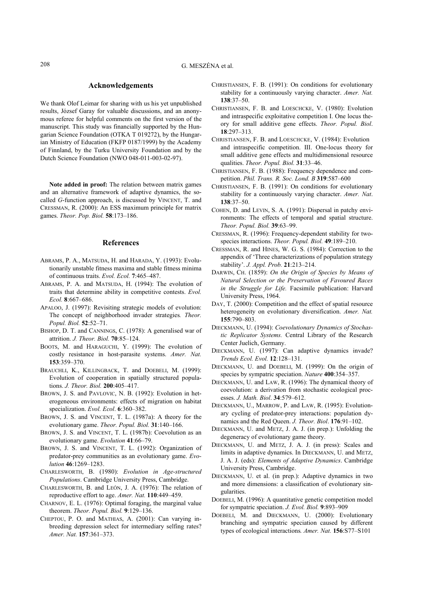We thank Olof Leimar for sharing with us his yet unpublished results, József Garay for valuable discussions, and an anonymous referee for helpful comments on the first version of the manuscript. This study was financially supported by the Hungarian Science Foundation (OTKA T 019272), by the Hungarian Ministry of Education (FKFP 0187/1999) by the Academy of Finnland, by the Turku University Foundation and by the Dutch Science Foundation (NWO 048-011-003-02-97).

**Note added in proof:** The relation between matrix games and an alternative framework of adaptive dynamics, the socalled *G*-function approach, is discussed by VINCENT, T. and CRESSMAN, R. (2000): An ESS maximum principle for matrix games. *Theor. Pop. Biol.* **58**:173–186.

#### **References**

- ABRAMS, P. A., MATSUDA, H. and HARADA, Y. (1993): Evolutionarily unstable fitness maxima and stable fitness minima of continuous traits. *Evol. Ecol.* **7**:465–487.
- ABRAMS, P. A. and MATSUDA, H. (1994): The evolution of traits that determine ability in competitive contests. *Evol. Ecol.* **8**:667–686.
- APALOO, J. (1997): Revisiting strategic models of evolution: The concept of neighborhood invader strategies*. Theor. Popul. Biol.* **52**:52–71.
- BISHOP, D. T. and CANNINGS, C. (1978): A generalised war of attrition. *J. Theor. Biol.* **70**:85–124.
- BOOTS, M. and HARAGUCHI, Y. (1999): The evolution of costly resistance in host-parasite systems. *Amer. Nat.* **153**:359–370.
- BRAUCHLI, K., KILLINGBACK, T. and DOEBELI, M. (1999): Evolution of cooperation in spatially structured populations. *J. Theor. Biol.* **200**:405–417.
- BROWN, J. S. and PAVLOVIC, N. B. (1992): Evolution in heterogeneous environments: effects of migration on habitat specialization. *Evol. Ecol*. **6**:360–382.
- BROWN, J. S. and VINCENT, T. L. (1987a): A theory for the evolutionary game. *Theor. Popul. Biol.* **31**:140–166.
- BROWN, J. S. and VINCENT, T. L. (1987b): Coevolution as an evolutionary game. *Evolution* **41**:66–79.
- BROWN, J. S. and VINCENT, T. L. (1992): Organization of predator-prey communities as an evolutionary game. *Evolution* **46**:1269–1283.
- CHARLESWORTH, B. (1980): *Evolution in Age-structured Populations*. Cambridge University Press, Cambridge.
- CHARLESWORTH, B. and LEÓN, J. A. (1976): The relation of reproductive effort to age. *Amer. Nat.* **110**:449–459.
- CHARNOV, E. L. (1976): Optimal foraging, the marginal value theorem. *Theor. Popul. Biol.* **9**:129–136.
- CHEPTOU, P. O. and MATHIAS, A. (2001): Can varying inbreeding depression select for intermediary selfing rates? *Amer. Nat.* **157**:361–373.
- CHRISTIANSEN, F. B. (1991): On conditions for evolutionary stability for a continuously varying character. *Amer. Nat.* **138**:37–50.
- CHRISTIANSEN, F. B. and LOESCHCKE, V. (1980): Evolution and intraspecific exploitative competition I. One locus theory for small additive gene effects. *Theor. Popul. Biol*. **18**:297–313.
- CHRISTIANSEN, F. B. and LOESCHCKE, V. (1984): Evolution and intraspecific competition. III. One-locus theory for small additive gene effects and multidimensional resource qualities. *Theor. Popul. Biol.* **31**:33–46.
- CHRISTIANSEN, F. B. (1988): Frequency dependence and competition. *Phil. Trans. R. Soc. Lond. B* **319**:587–600
- CHRISTIANSEN, F. B. (1991): On conditions for evolutionary stability for a continuously varying character. *Amer. Nat*. **138**:37–50.
- COHEN, D. and LEVIN, S. A. (1991): Dispersal in patchy environments: The effects of temporal and spatial structure. *Theor. Popul. Biol.* **39**:63–99.
- CRESSMAN, R. (1996): Frequency-dependent stability for twospecies interactions. *Theor. Popul. Biol.* **49**:189–210.
- CRESSMAN, R. and HINES, W. G. S. (1984): Correction to the appendix of 'Three characterizations of population strategy stability'. *J. Appl. Prob.* **21**:213–214.
- DARWIN, CH. (1859): *On the Origin of Species by Means of Natural Selection or the Preservation of Favoured Races in the Struggle for Life.* Facsimile publication: Harvard University Press, 1964.
- DAY, T. (2000): Competition and the effect of spatial resource heterogeneity on evolutionary diversification. *Amer. Nat.* **155**:790–803.
- DIECKMANN, U. (1994): *Coevolutionary Dynamics of Stochastic Replicator Systems.* Central Library of the Research Center Juelich, Germany.
- DIECKMANN, U. (1997): Can adaptive dynamics invade? *Trends Ecol. Evol.* **12**:128–131.
- DIECKMANN, U. and DOEBELI, M. (1999): On the origin of species by sympatric speciation. *Nature* **400**:354–357.
- DIECKMANN, U. and LAW, R. (1996): The dynamical theory of coevolution: a derivation from stochastic ecological processes. *J. Math. Biol*. **34**:579–612.
- DIECKMANN, U., MARROW, P. and LAW, R. (1995): Evolutionary cycling of predator-prey interactions: population dynamics and the Red Queen. *J. Theor. Biol*. **176**:91–102.
- DIECKMANN, U. and METZ, J. A. J. (in prep.): Unfolding the degeneracy of evolutionary game theory.
- DIECKMANN, U. and METZ, J. A. J. (in press): Scales and limits in adaptive dynamics. In DIECKMANN, U. and METZ, J. A. J. (eds): *Elements of Adaptive Dynamics*. Cambridge University Press, Cambridge.
- DIECKMANN, U. et al. (in prep.): Adaptive dynamics in two and more dimensions: a classification of evolutionary singularities.
- DOEBELI, M. (1996): A quantitative genetic competition model for sympatric speciation. *J. Evol. Biol.* **9**:893–909
- DOEBELI, M. and DIECKMANN, U. (2000): Evolutionary branching and sympatric speciation caused by different types of ecological interactions*. Amer. Nat.* **156**:S77–S101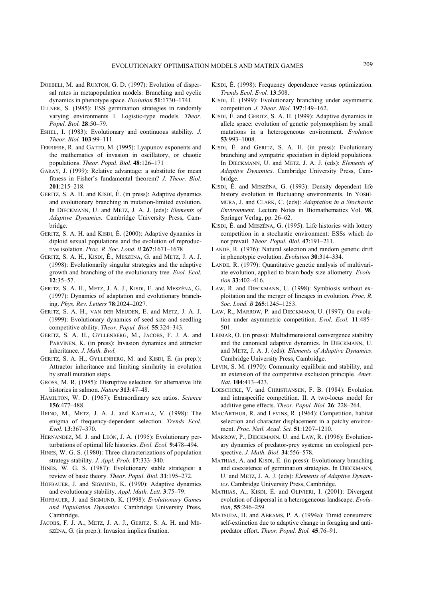- DOEBELI, M. and RUXTON, G. D. (1997): Evolution of dispersal rates in metapopulation models: Branching and cyclic dynamics in phenotype space. *Evolution* **51**:1730–1741.
- ELLNER, S. (1985): ESS germination strategies in randomly varying environments I. Logistic-type models*. Theor. Popul. Biol.* **28**:50–79.
- ESHEL, I. (1983): Evolutionary and continuous stability*. J. Theor. Biol.* **103**:99–111.
- FERRIERE, R. and GATTO, M. (1995): Lyapunov exponents and the mathematics of invasion in oscillatory, or chaotic populations. *Theor. Popul. Biol.* **48**:126–171
- GARAY, J. (1999): Relative advantage: a substitute for mean fitness in Fisher's fundamental theorem? *J. Theor. Biol*. **201**:215–218.
- GERITZ, S. A. H. and KISDI, É. (in press): Adaptive dynamics and evolutionary branching in mutation-limited evolution. In DIECKMANN, U. and METZ, J. A. J. (eds): *Elements of Adaptive Dynamics.* Cambridge University Press, Cambridge.
- GERITZ, S. A. H. and KISDI, É. (2000): Adaptive dynamics in diploid sexual populations and the evolution of reproductive isolation. *Proc. R. Soc. Lond. B* **267**:1671–1678
- GERITZ, S. A. H., KISDI, É., MESZÉNA, G. and METZ, J. A. J. (1998): Evolutionarily singular strategies and the adaptive growth and branching of the evolutionary tree. *Evol. Ecol*. **12**:35–57.
- GERITZ, S. A. H., METZ, J. A. J., KISDI, E. and MESZÉNA, G. (1997): Dynamics of adaptation and evolutionary branching. *Phys. Rev. Letters* **78**:2024–2027.
- GERITZ, S. A. H., VAN DER MEIJDEN, E. and METZ, J. A. J. (1999): Evolutionary dynamics of seed size and seedling competitive ability. *Theor. Popul. Biol.* **55**:324–343.
- GERITZ, S. A. H., GYLLENBERG, M., JACOBS, F. J. A. and PARVINEN, K. (in press): Invasion dynamics and attractor inheritance. *J. Math. Biol.*
- GERITZ, S. A. H., GYLLENBERG, M. and KISDI, É. (in prep.): Attractor inheritance and limiting similarity in evolution by small mutation steps.
- GROSS, M. R. (1985): Disruptive selection for alternative life histories in salmon. *Nature* **313**:47–48.
- HAMILTON, W. D. (1967): Extraordinary sex ratios. *Science* **156**:477–488.
- HEINO, M., METZ, J. A. J. and KAITALA, V. (1998): The enigma of frequency-dependent selection. *Trends Ecol. Evol.* **13**:367–370.
- HERNANDEZ, M. J. and LEÓN, J. A. (1995): Evolutionary perturbations of optimal life histories. *Evol. Ecol.* **9**:478–494.
- HINES, W. G. S. (1980): Three characterizations of population strategy stability. *J. Appl. Prob.* **17**:333–340.
- HINES, W. G. S. (1987): Evolutionary stable strategies: a review of basic theory. *Theor. Popul. Biol.* **31**:195–272.
- HOFBAUER, J. and SIGMUND, K. (1990): Adaptive dynamics and evolutionary stability. *Appl. Math. Lett.* **3**:75–79.
- HOFBAUER, J. and SIGMUND, K. (1998): *Evolutionary Games and Population Dynamics.* Cambridge University Press, Cambridge.
- JACOBS, F. J. A., METZ, J. A. J., GERITZ, S. A. H. and ME-SZÉNA, G. (in prep.): Invasion implies fixation.
- KISDI, É. (1998): Frequency dependence versus optimization. *Trends Ecol. Evol.* **13**:508.
- KISDI, É. (1999): Evolutionary branching under asymmetric competition. *J. Theor. Biol.* **197**:149–162.
- KISDI, É. and GERITZ, S. A. H. (1999): Adaptive dynamics in allele space: evolution of genetic polymorphism by small mutations in a heterogeneous environment. *Evolution* **53**:993–1008.
- KISDI, É. and GERITZ, S. A. H. (in press): Evolutionary branching and sympatric speciation in diploid populations. In DIECKMANN, U. and METZ, J. A. J. (eds): *Elements of Adaptive Dynamics*. Cambridge University Press, Cambridge.
- KISDI, É. and MESZÉNA, G. (1993): Density dependent life history evolution in fluctuating environments. In YOSHI-MURA, J. and CLARK, C. (eds): *Adaptation in a Stochastic Environment.* Lecture Notes in Biomathematics Vol. **98**, Springer Verlag, pp. 26–62.
- KISDI, É. and MESZÉNA, G. (1995): Life histories with lottery competition in a stochastic environment: ESSs which do not prevail. *Theor. Popul. Biol.* **47**:191–211.
- LANDE, R. (1976): Natural selection and random genetic drift in phenotypic evolution. *Evolution* **30**:314–334.
- LANDE, R. (1979): Quantitative genetic analysis of multivariate evolution, applied to brain:body size allometry. *Evolution* **33**:402–416.
- LAW, R. and DIECKMANN, U. (1998): Symbiosis without exploitation and the merger of lineages in evolution*. Proc. R. Soc. Lond. B* **265**:1245–1253.
- LAW, R., MARROW, P. and DIECKMANN, U. (1997): On evolution under asymmetric competition. *Evol. Ecol.* **11**:485– 501.
- LEIMAR, O. (in press): Multidimensional convergence stability and the canonical adaptive dynamics. In DIECKMANN, U. and METZ, J. A. J. (eds): *Elements of Adaptive Dynamics*. Cambridge University Press, Cambridge.
- LEVIN, S. M. (1970): Community equilibria and stability, and an extension of the competitive exclusion principle*. Amer. Nat.* **104**:413–423.
- LOESCHCKE, V. and CHRISTIANSEN, F. B. (1984): Evolution and intraspecific competition. II. A two-locus model for additive gene effects. *Theor. Popul. Biol.* **26**: 228–264.
- MACARTHUR, R. and LEVINS, R. (1964): Competition, habitat selection and character displacement in a patchy environment. *Proc. Natl. Acad. Sci.* **51**:1207–1210.
- MARROW, P., DIECKMANN, U. and LAW, R. (1996): Evolutionary dynamics of predator-prey systems: an ecological perspective. *J. Math. Biol*. **34**:556–578.
- MATHIAS, A. and KISDI, É. (in press): Evolutionary branching and coexistence of germination strategies. In DIECKMANN, U. and METZ, J. A. J. (eds): *Elements of Adaptive Dynamics*. Cambridge University Press, Cambridge.
- MATHIAS, A., KISDI, É. and OLIVIERI, I. (2001): Divergent evolution of dispersal in a heterogeneous landscape. *Evolution*, **55**:246–259.
- MATSUDA, H. and ABRAMS, P. A. (1994a): Timid consumers: self-extinction due to adaptive change in foraging and antipredator effort. *Theor. Popul. Biol.* **45**:76–91.